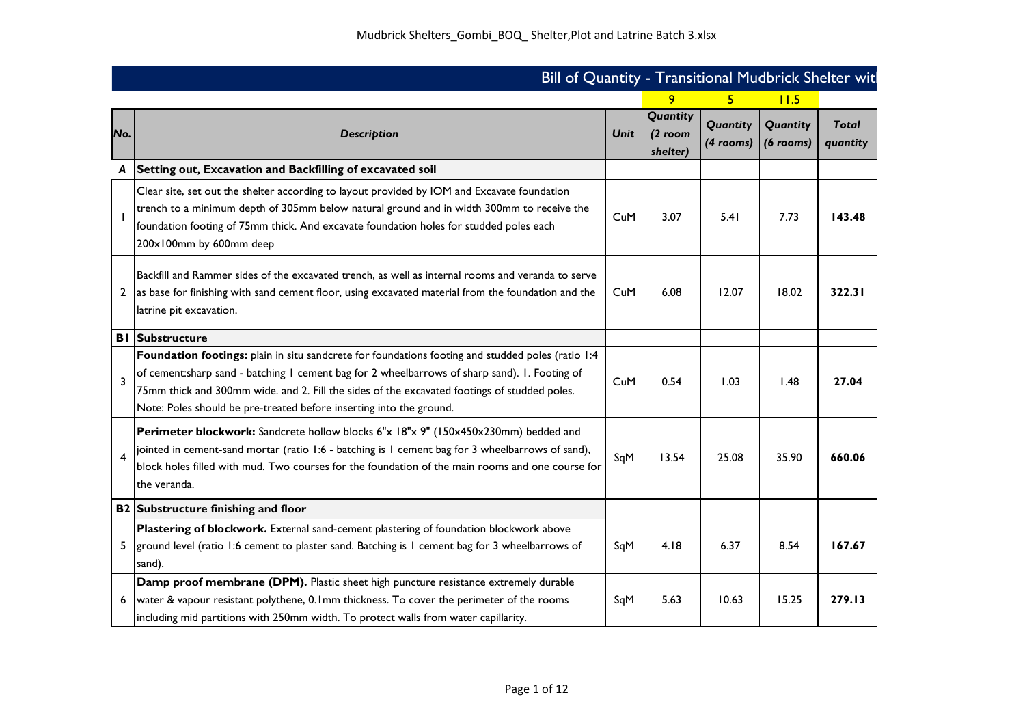|     | Bill of Quantity - Transitional Mudbrick Shelter wit                                                                                                                                                                                                                                                                                                                      |             |                                   |                                       |          |                          |
|-----|---------------------------------------------------------------------------------------------------------------------------------------------------------------------------------------------------------------------------------------------------------------------------------------------------------------------------------------------------------------------------|-------------|-----------------------------------|---------------------------------------|----------|--------------------------|
|     |                                                                                                                                                                                                                                                                                                                                                                           |             | 9.                                |                                       | 11.5     |                          |
| No. | <b>Description</b>                                                                                                                                                                                                                                                                                                                                                        | <b>Unit</b> | Quantity<br>$(2$ room<br>shelter) | Quantity  <br>$(4$ rooms) $(6$ rooms) | Quantity | <b>Total</b><br>quantity |
|     | Setting out, Excavation and Backfilling of excavated soil                                                                                                                                                                                                                                                                                                                 |             |                                   |                                       |          |                          |
|     | Clear site, set out the shelter according to layout provided by IOM and Excavate foundation<br>trench to a minimum depth of 305mm below natural ground and in width 300mm to receive the<br>foundation footing of 75mm thick. And excavate foundation holes for studded poles each<br>200x100mm by 600mm deep                                                             | CuM         | 3.07                              | 5.41                                  | 7.73     | 143.48                   |
|     | Backfill and Rammer sides of the excavated trench, as well as internal rooms and veranda to serve<br>2 as base for finishing with sand cement floor, using excavated material from the foundation and the<br>latrine pit excavation.                                                                                                                                      | CuM         | 6.08                              | 12.07                                 | 18.02    | 322.31                   |
|     | <b>BI</b> Substructure                                                                                                                                                                                                                                                                                                                                                    |             |                                   |                                       |          |                          |
| 3   | Foundation footings: plain in situ sandcrete for foundations footing and studded poles (ratio 1:4<br>of cement:sharp sand - batching I cement bag for 2 wheelbarrows of sharp sand). I. Footing of<br>75mm thick and 300mm wide. and 2. Fill the sides of the excavated footings of studded poles.<br>Note: Poles should be pre-treated before inserting into the ground. | CuM         | 0.54                              | 1.03                                  | 1.48     | 27.04                    |
|     | Perimeter blockwork: Sandcrete hollow blocks 6"x 18"x 9" (150x450x230mm) bedded and<br>ointed in cement-sand mortar (ratio 1:6 - batching is 1 cement bag for 3 wheelbarrows of sand),<br>block holes filled with mud. Two courses for the foundation of the main rooms and one course for<br>the veranda.                                                                | SqM         | 13.54                             | 25.08                                 | 35.90    | 660.06                   |
|     | B2 Substructure finishing and floor                                                                                                                                                                                                                                                                                                                                       |             |                                   |                                       |          |                          |
|     | Plastering of blockwork. External sand-cement plastering of foundation blockwork above<br>ground level (ratio 1:6 cement to plaster sand. Batching is 1 cement bag for 3 wheelbarrows of<br>sand).                                                                                                                                                                        | SqM         | 4.18                              | 6.37                                  | 8.54     | 167.67                   |
|     | Damp proof membrane (DPM). Plastic sheet high puncture resistance extremely durable<br>water & vapour resistant polythene, 0.1mm thickness. To cover the perimeter of the rooms<br>including mid partitions with 250mm width. To protect walls from water capillarity.                                                                                                    | SqM         | 5.63                              | 10.63                                 | 15.25    | 279.13                   |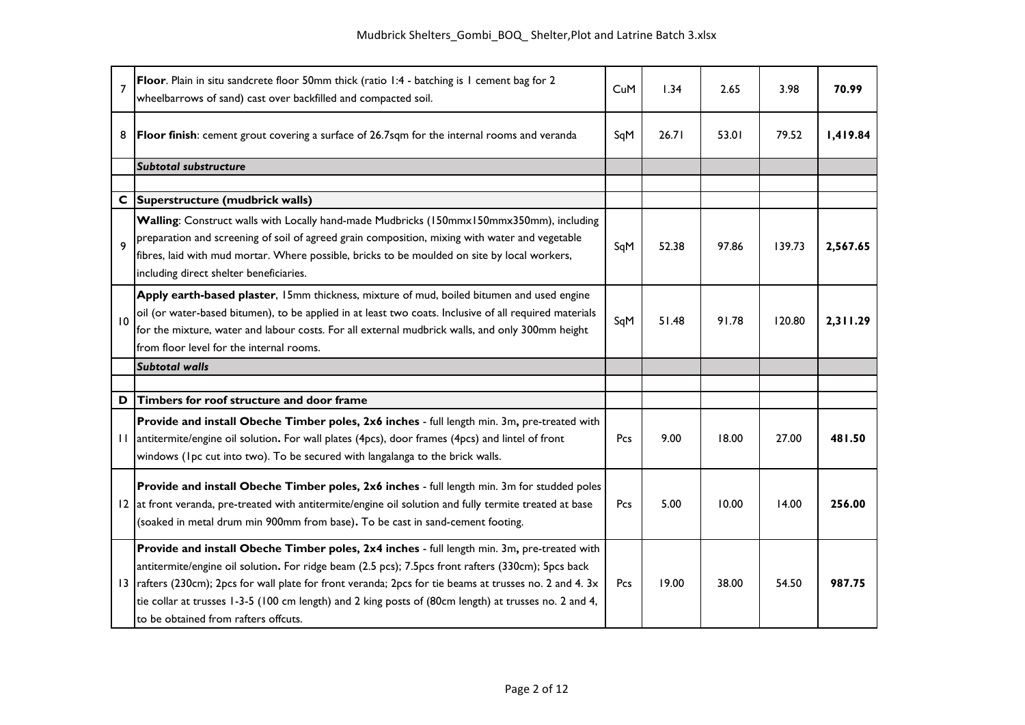| $\overline{7}$  | Floor. Plain in situ sandcrete floor 50mm thick (ratio 1:4 - batching is 1 cement bag for 2<br>wheelbarrows of sand) cast over backfilled and compacted soil.                                                                                                                                                                                                                                                                                               | CuM | 1.34  | 2.65  | 3.98   | 70.99    |
|-----------------|-------------------------------------------------------------------------------------------------------------------------------------------------------------------------------------------------------------------------------------------------------------------------------------------------------------------------------------------------------------------------------------------------------------------------------------------------------------|-----|-------|-------|--------|----------|
| 8               | Floor finish: cement grout covering a surface of 26.7sqm for the internal rooms and veranda                                                                                                                                                                                                                                                                                                                                                                 | SqM | 26.71 | 53.01 | 79.52  | 1,419.84 |
|                 | <b>Subtotal substructure</b>                                                                                                                                                                                                                                                                                                                                                                                                                                |     |       |       |        |          |
|                 |                                                                                                                                                                                                                                                                                                                                                                                                                                                             |     |       |       |        |          |
| $\mathbf c$     | Superstructure (mudbrick walls)                                                                                                                                                                                                                                                                                                                                                                                                                             |     |       |       |        |          |
| 9               | Walling: Construct walls with Locally hand-made Mudbricks (150mmx150mmx350mm), including<br>preparation and screening of soil of agreed grain composition, mixing with water and vegetable<br>fibres, laid with mud mortar. Where possible, bricks to be moulded on site by local workers,<br>including direct shelter beneficiaries.                                                                                                                       | SqM | 52.38 | 97.86 | 139.73 | 2,567.65 |
| 10              | Apply earth-based plaster, 15mm thickness, mixture of mud, boiled bitumen and used engine<br>oil (or water-based bitumen), to be applied in at least two coats. Inclusive of all required materials<br>for the mixture, water and labour costs. For all external mudbrick walls, and only 300mm height<br>from floor level for the internal rooms.                                                                                                          | SqM | 51.48 | 91.78 | 120.80 | 2,311.29 |
|                 | <b>Subtotal walls</b>                                                                                                                                                                                                                                                                                                                                                                                                                                       |     |       |       |        |          |
|                 |                                                                                                                                                                                                                                                                                                                                                                                                                                                             |     |       |       |        |          |
| D               | Timbers for roof structure and door frame                                                                                                                                                                                                                                                                                                                                                                                                                   |     |       |       |        |          |
| $\mathbf{H}$    | Provide and install Obeche Timber poles, 2x6 inches - full length min. 3m, pre-treated with<br>antitermite/engine oil solution. For wall plates (4pcs), door frames (4pcs) and lintel of front<br>windows (Ipc cut into two). To be secured with langalanga to the brick walls.                                                                                                                                                                             | Pcs | 9.00  | 18.00 | 27.00  | 481.50   |
| 12              | Provide and install Obeche Timber poles, 2x6 inches - full length min. 3m for studded poles<br>at front veranda, pre-treated with antitermite/engine oil solution and fully termite treated at base<br>(soaked in metal drum min 900mm from base). To be cast in sand-cement footing.                                                                                                                                                                       | Pcs | 5.00  | 10.00 | 14.00  | 256.00   |
| $\overline{13}$ | Provide and install Obeche Timber poles, 2x4 inches - full length min. 3m, pre-treated with<br>antitermite/engine oil solution. For ridge beam (2.5 pcs); 7.5pcs front rafters (330cm); 5pcs back<br>rafters (230cm); 2pcs for wall plate for front veranda; 2pcs for tie beams at trusses no. 2 and 4. 3x<br>tie collar at trusses 1-3-5 (100 cm length) and 2 king posts of (80cm length) at trusses no. 2 and 4,<br>to be obtained from rafters offcuts. | Pcs | 19.00 | 38.00 | 54.50  | 987.75   |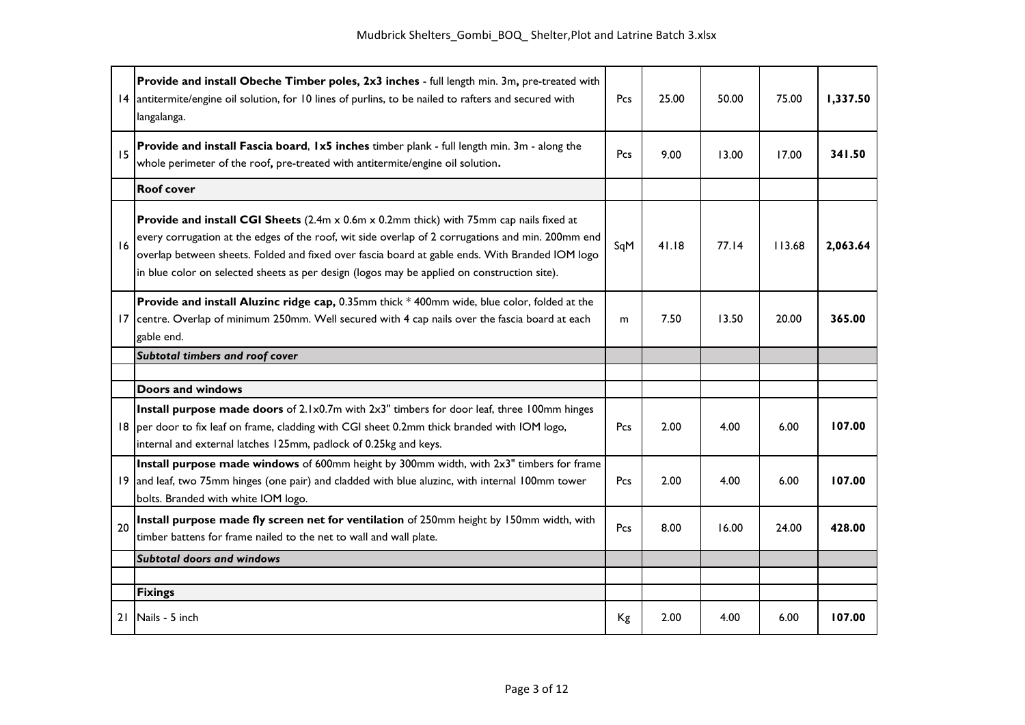|    | Provide and install Obeche Timber poles, 2x3 inches - full length min. 3m, pre-treated with<br>14 antitermite/engine oil solution, for 10 lines of purlins, to be nailed to rafters and secured with<br>langalanga.                                                                                                                                                                                   | Pcs | 25.00 | 50.00 | 75.00  | 1,337.50 |
|----|-------------------------------------------------------------------------------------------------------------------------------------------------------------------------------------------------------------------------------------------------------------------------------------------------------------------------------------------------------------------------------------------------------|-----|-------|-------|--------|----------|
| 15 | Provide and install Fascia board, 1x5 inches timber plank - full length min. 3m - along the<br>whole perimeter of the roof, pre-treated with antitermite/engine oil solution.                                                                                                                                                                                                                         | Pcs | 9.00  | 13.00 | 17.00  | 341.50   |
|    | <b>Roof cover</b>                                                                                                                                                                                                                                                                                                                                                                                     |     |       |       |        |          |
| 16 | <b>Provide and install CGI Sheets</b> (2.4m x 0.6m x 0.2mm thick) with 75mm cap nails fixed at<br>every corrugation at the edges of the roof, wit side overlap of 2 corrugations and min. 200mm end<br>overlap between sheets. Folded and fixed over fascia board at gable ends. With Branded IOM logo<br>in blue color on selected sheets as per design (logos may be applied on construction site). | SqM | 41.18 | 77.14 | 113.68 | 2,063.64 |
| 17 | Provide and install Aluzinc ridge cap, 0.35mm thick * 400mm wide, blue color, folded at the<br>centre. Overlap of minimum 250mm. Well secured with 4 cap nails over the fascia board at each<br>gable end.                                                                                                                                                                                            | m   | 7.50  | 13.50 | 20.00  | 365.00   |
|    | Subtotal timbers and roof cover                                                                                                                                                                                                                                                                                                                                                                       |     |       |       |        |          |
|    | <b>Doors and windows</b>                                                                                                                                                                                                                                                                                                                                                                              |     |       |       |        |          |
|    |                                                                                                                                                                                                                                                                                                                                                                                                       |     |       |       |        |          |
|    | Install purpose made doors of 2.1x0.7m with 2x3" timbers for door leaf, three 100mm hinges<br>18 per door to fix leaf on frame, cladding with CGI sheet 0.2mm thick branded with IOM logo,<br>internal and external latches 125mm, padlock of 0.25kg and keys.                                                                                                                                        | Pcs | 2.00  | 4.00  | 6.00   | 107.00   |
|    | Install purpose made windows of 600mm height by 300mm width, with 2x3" timbers for frame<br>19 and leaf, two 75mm hinges (one pair) and cladded with blue aluzinc, with internal 100mm tower<br>bolts. Branded with white IOM logo.                                                                                                                                                                   | Pcs | 2.00  | 4.00  | 6.00   | 107.00   |
| 20 | Install purpose made fly screen net for ventilation of 250mm height by 150mm width, with<br>timber battens for frame nailed to the net to wall and wall plate.                                                                                                                                                                                                                                        | Pcs | 8.00  | 16.00 | 24.00  | 428.00   |
|    | <b>Subtotal doors and windows</b>                                                                                                                                                                                                                                                                                                                                                                     |     |       |       |        |          |
|    |                                                                                                                                                                                                                                                                                                                                                                                                       |     |       |       |        |          |
|    | <b>Fixings</b>                                                                                                                                                                                                                                                                                                                                                                                        |     |       |       |        |          |
| 21 | Nails - 5 inch                                                                                                                                                                                                                                                                                                                                                                                        | Кg  | 2.00  | 4.00  | 6.00   | 107.00   |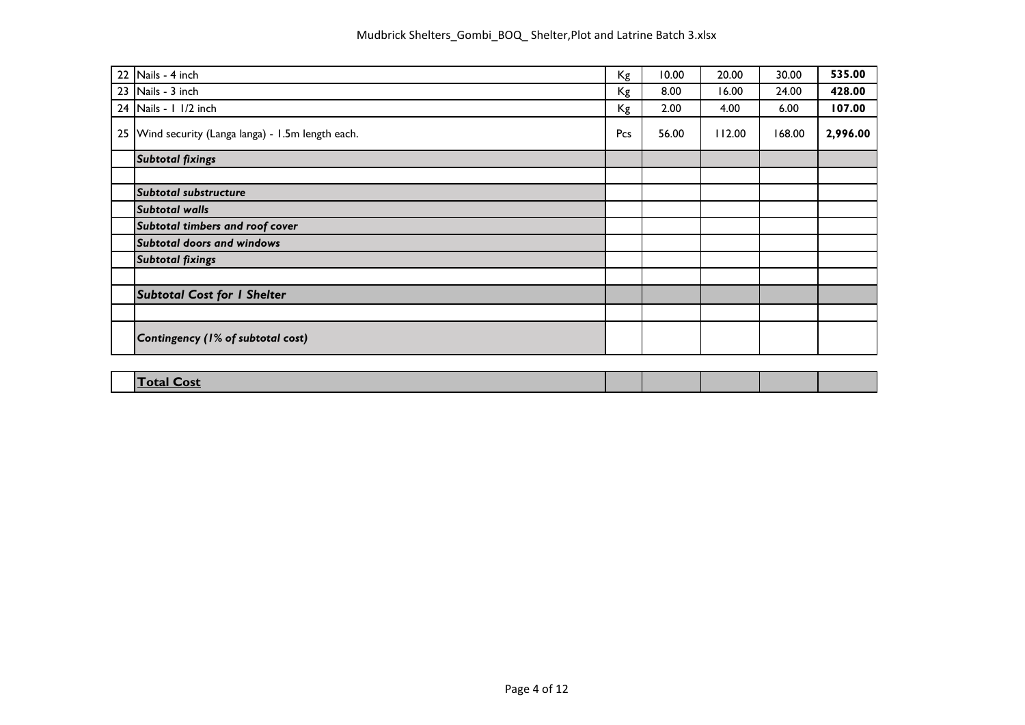| 22 | Nails - 4 inch                                     | Kg  | 10.00 | 20.00  | 30.00  | 535.00   |
|----|----------------------------------------------------|-----|-------|--------|--------|----------|
|    | 23 Nails - 3 inch                                  | Kg  | 8.00  | 16.00  | 24.00  | 428.00   |
|    | 24 Nails - 1 1/2 inch                              | Кg  | 2.00  | 4.00   | 6.00   | 107.00   |
|    | 25 Wind security (Langa langa) - 1.5m length each. | Pcs | 56.00 | 112.00 | 168.00 | 2,996.00 |
|    | <b>Subtotal fixings</b>                            |     |       |        |        |          |
|    |                                                    |     |       |        |        |          |
|    | Subtotal substructure                              |     |       |        |        |          |
|    | <b>Subtotal walls</b>                              |     |       |        |        |          |
|    | Subtotal timbers and roof cover                    |     |       |        |        |          |
|    | <b>Subtotal doors and windows</b>                  |     |       |        |        |          |
|    | <b>Subtotal fixings</b>                            |     |       |        |        |          |
|    |                                                    |     |       |        |        |          |
|    | <b>Subtotal Cost for I Shelter</b>                 |     |       |        |        |          |
|    |                                                    |     |       |        |        |          |
|    | Contingency (1% of subtotal cost)                  |     |       |        |        |          |
|    |                                                    |     |       |        |        |          |

| etal<br>⊡ost |  |  |  |
|--------------|--|--|--|
|              |  |  |  |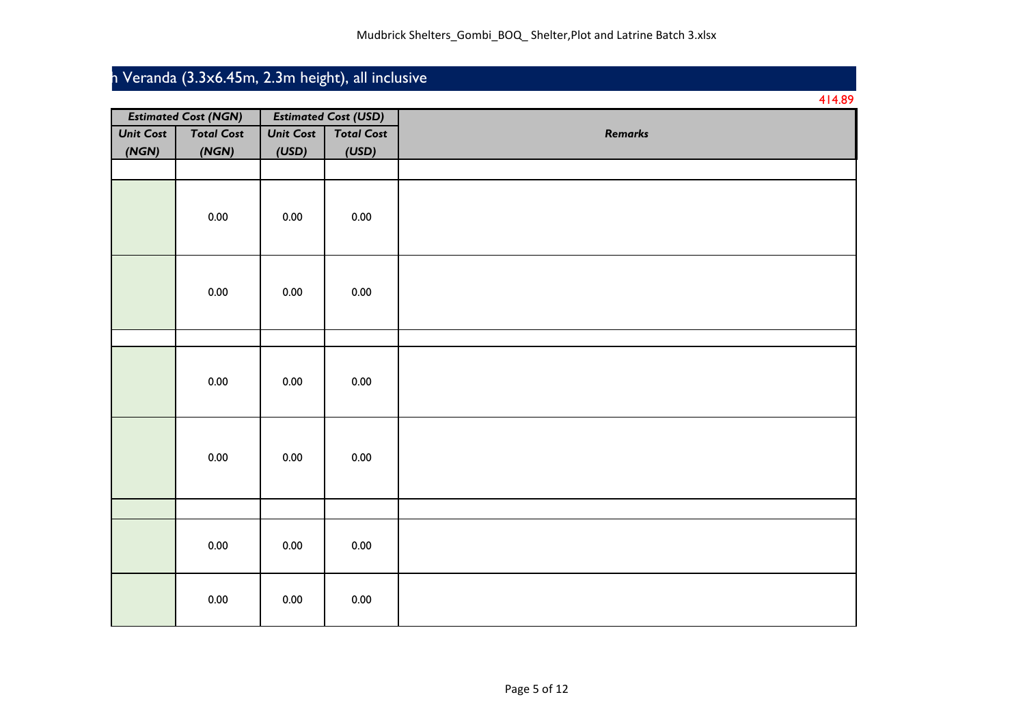## h Veranda (3.3x6.45m, 2.3m height), all inclusive

|                  |                             |                  |                             | 414.89         |
|------------------|-----------------------------|------------------|-----------------------------|----------------|
|                  | <b>Estimated Cost (NGN)</b> |                  | <b>Estimated Cost (USD)</b> |                |
| <b>Unit Cost</b> | <b>Total Cost</b>           | <b>Unit Cost</b> | <b>Total Cost</b>           | <b>Remarks</b> |
| (NGN)            | (NGN)                       | (USD)            | (USD)                       |                |
|                  |                             |                  |                             |                |
|                  | 0.00                        | 0.00             | 0.00                        |                |
|                  | 0.00                        | 0.00             | 0.00                        |                |
|                  |                             |                  |                             |                |
|                  | 0.00                        | 0.00             | 0.00                        |                |
|                  | 0.00                        | 0.00             | 0.00                        |                |
|                  |                             |                  |                             |                |
|                  | 0.00                        | 0.00             | 0.00                        |                |
|                  | $0.00\,$                    | 0.00             | $0.00\,$                    |                |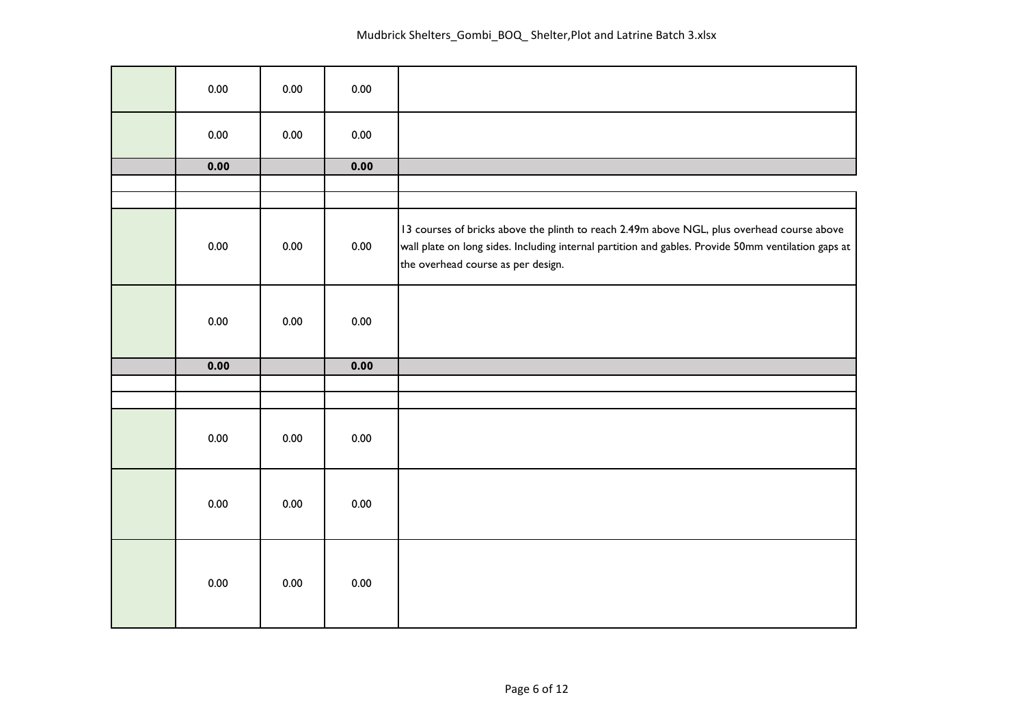| 0.00 | 0.00 | 0.00 |                                                                                                                                                                                                                                         |
|------|------|------|-----------------------------------------------------------------------------------------------------------------------------------------------------------------------------------------------------------------------------------------|
| 0.00 | 0.00 | 0.00 |                                                                                                                                                                                                                                         |
| 0.00 |      | 0.00 |                                                                                                                                                                                                                                         |
|      |      |      |                                                                                                                                                                                                                                         |
|      |      |      |                                                                                                                                                                                                                                         |
| 0.00 | 0.00 | 0.00 | 13 courses of bricks above the plinth to reach 2.49m above NGL, plus overhead course above<br>wall plate on long sides. Including internal partition and gables. Provide 50mm ventilation gaps at<br>the overhead course as per design. |
| 0.00 | 0.00 | 0.00 |                                                                                                                                                                                                                                         |
| 0.00 |      | 0.00 |                                                                                                                                                                                                                                         |
|      |      |      |                                                                                                                                                                                                                                         |
|      |      |      |                                                                                                                                                                                                                                         |
| 0.00 | 0.00 | 0.00 |                                                                                                                                                                                                                                         |
| 0.00 | 0.00 | 0.00 |                                                                                                                                                                                                                                         |
| 0.00 | 0.00 | 0.00 |                                                                                                                                                                                                                                         |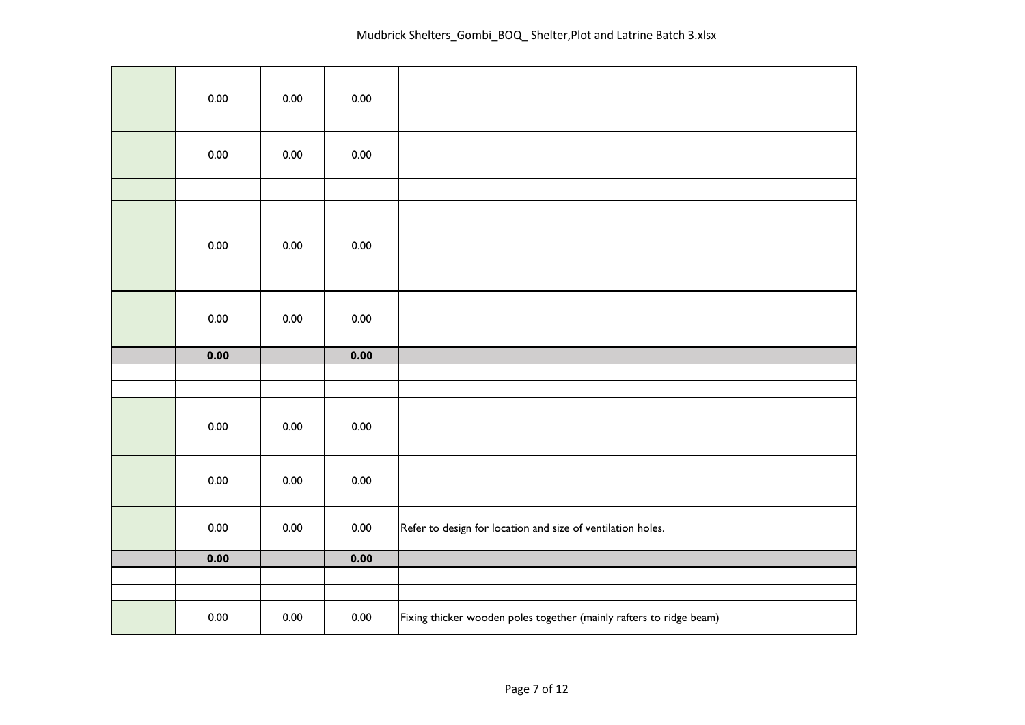| 0.00 | 0.00 | 0.00 |                                                                     |
|------|------|------|---------------------------------------------------------------------|
| 0.00 | 0.00 | 0.00 |                                                                     |
|      |      |      |                                                                     |
| 0.00 | 0.00 | 0.00 |                                                                     |
| 0.00 | 0.00 | 0.00 |                                                                     |
| 0.00 |      | 0.00 |                                                                     |
|      |      |      |                                                                     |
| 0.00 | 0.00 | 0.00 |                                                                     |
| 0.00 | 0.00 | 0.00 |                                                                     |
| 0.00 | 0.00 | 0.00 | Refer to design for location and size of ventilation holes.         |
| 0.00 |      | 0.00 |                                                                     |
|      |      |      |                                                                     |
| 0.00 | 0.00 | 0.00 | Fixing thicker wooden poles together (mainly rafters to ridge beam) |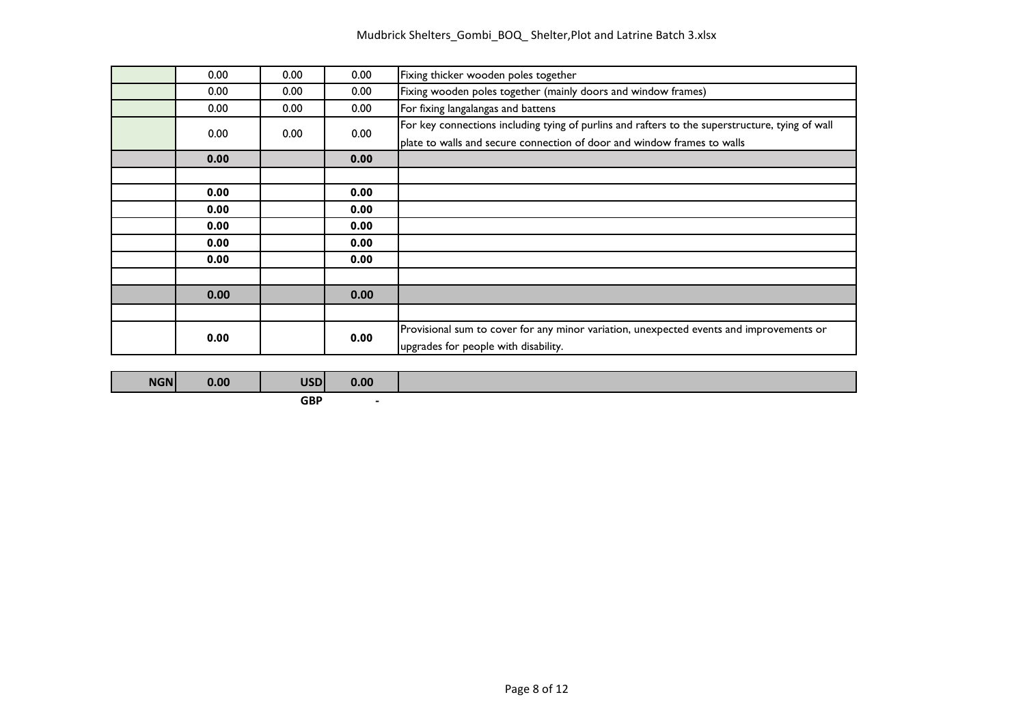## Mudbrick Shelters\_Gombi\_BOQ\_ Shelter,Plot and Latrine Batch 3.xlsx

| 0.00 | 0.00              | 0.00 | Fixing thicker wooden poles together                                                            |  |  |  |  |  |  |
|------|-------------------|------|-------------------------------------------------------------------------------------------------|--|--|--|--|--|--|
| 0.00 | 0.00              | 0.00 | Fixing wooden poles together (mainly doors and window frames)                                   |  |  |  |  |  |  |
| 0.00 | 0.00 <sub>1</sub> | 0.00 | For fixing langalangas and battens                                                              |  |  |  |  |  |  |
| 0.00 | 0.00 <sub>1</sub> |      | For key connections including tying of purlins and rafters to the superstructure, tying of wall |  |  |  |  |  |  |
|      |                   | 0.00 | plate to walls and secure connection of door and window frames to walls                         |  |  |  |  |  |  |
| 0.00 |                   | 0.00 |                                                                                                 |  |  |  |  |  |  |
|      |                   |      |                                                                                                 |  |  |  |  |  |  |
| 0.00 |                   | 0.00 |                                                                                                 |  |  |  |  |  |  |
| 0.00 |                   | 0.00 |                                                                                                 |  |  |  |  |  |  |
| 0.00 |                   | 0.00 |                                                                                                 |  |  |  |  |  |  |
| 0.00 |                   | 0.00 |                                                                                                 |  |  |  |  |  |  |
| 0.00 |                   | 0.00 |                                                                                                 |  |  |  |  |  |  |
|      |                   |      |                                                                                                 |  |  |  |  |  |  |
| 0.00 |                   | 0.00 |                                                                                                 |  |  |  |  |  |  |
|      |                   |      |                                                                                                 |  |  |  |  |  |  |
| 0.00 |                   | 0.00 | Provisional sum to cover for any minor variation, unexpected events and improvements or         |  |  |  |  |  |  |
|      |                   |      | upgrades for people with disability.                                                            |  |  |  |  |  |  |

**GBP -**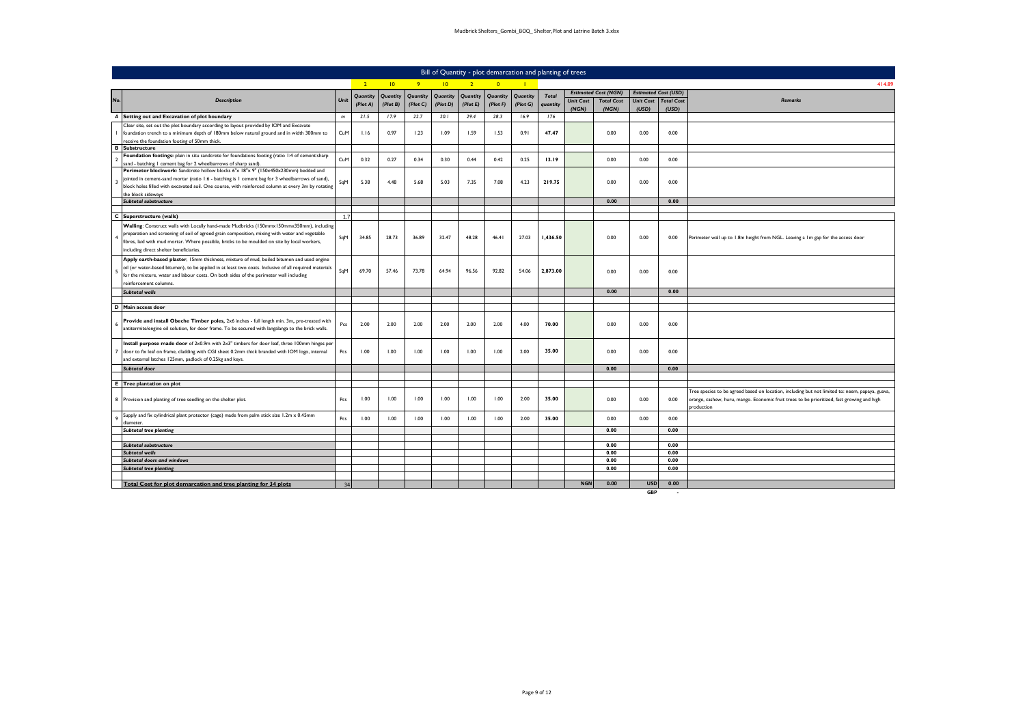|     |                                                                                                                                                                                                |      |                |                 |                |                  |                |                | Bill of Quantity - plot demarcation and planting of trees |              |                  |                             |                             |                   |                                                                                                 |
|-----|------------------------------------------------------------------------------------------------------------------------------------------------------------------------------------------------|------|----------------|-----------------|----------------|------------------|----------------|----------------|-----------------------------------------------------------|--------------|------------------|-----------------------------|-----------------------------|-------------------|-------------------------------------------------------------------------------------------------|
|     |                                                                                                                                                                                                |      | 2 <sup>1</sup> | $\overline{10}$ | 9 <sup>°</sup> | 10 <sup>10</sup> | 2 <sup>1</sup> | $\overline{0}$ |                                                           |              |                  |                             |                             |                   | 414.89                                                                                          |
|     |                                                                                                                                                                                                |      | Quantity       | Quantity        | Quantity       | Quantity         | Quantity       | Quantity       | Quantity                                                  | <b>Total</b> |                  | <b>Estimated Cost (NGN)</b> | <b>Estimated Cost (USD)</b> |                   |                                                                                                 |
| No. | <b>Description</b>                                                                                                                                                                             | Unit | (Plot A)       | (Plot B)        | (Plot C)       | (Plot D)         | (Plot E)       | (Plot F)       | (Plot G)                                                  | quantity     | <b>Unit Cost</b> | <b>Total Cost</b>           | <b>Unit Cost</b>            | <b>Total Cost</b> | <b>Remarks</b>                                                                                  |
|     |                                                                                                                                                                                                |      |                |                 |                |                  |                |                |                                                           |              | (NGN)            | (NGN)                       | (USD)                       | (USD)             |                                                                                                 |
|     | A Setting out and Excavation of plot boundary                                                                                                                                                  | m    | 21.5           | 17.9            | 22.7           | 20.1             | 29.4           | 28.3           | 16.9                                                      | 176          |                  |                             |                             |                   |                                                                                                 |
|     | Clear site, set out the plot boundary according to layout provided by IOM and Excavate                                                                                                         |      |                |                 |                |                  |                |                |                                                           |              |                  |                             |                             |                   |                                                                                                 |
|     | foundation trench to a minimum depth of 180mm below natural ground and in width 300mm to                                                                                                       | CuM  | 1.16           | 0.97            | 1.23           | 1.09             | 1.59           | 1.53           | 0.91                                                      | 47.47        |                  | 0.00                        | 0.00                        | 0.00              |                                                                                                 |
|     | receive the foundation footing of 50mm thick.<br><b>B</b> Substructure                                                                                                                         |      |                |                 |                |                  |                |                |                                                           |              |                  |                             |                             |                   |                                                                                                 |
|     | Foundation footings: plain in situ sandcrete for foundations footing (ratio 1:4 of cement:sharp                                                                                                |      |                |                 |                |                  |                |                |                                                           |              |                  |                             |                             |                   |                                                                                                 |
|     | sand - batching I cement bag for 2 wheelbarrows of sharp sand)                                                                                                                                 | CuM  | 0.32           | 0.27            | 0.34           | 0.30             | 0.44           | 0.42           | 0.25                                                      | 13.19        |                  | 0.00                        | 0.00                        | 0.00              |                                                                                                 |
|     | Perimeter blockwork: Sandcrete hollow blocks 6"x 18"x 9" (150x450x230mm) bedded and                                                                                                            |      |                |                 |                |                  |                |                |                                                           |              |                  |                             |                             |                   |                                                                                                 |
|     | jointed in cement-sand mortar (ratio 1:6 - batching is 1 cement bag for 3 wheelbarrows of sand),                                                                                               | SqM  | 5.38           | 4.48            | 5.68           | 5.03             | 7.35           | 7.08           | 4.23                                                      | 219.75       |                  | 0.00                        | 0.00                        | 0.00              |                                                                                                 |
|     | block holes filled with excavated soil. One course, with reinforced column at every 3m by rotating                                                                                             |      |                |                 |                |                  |                |                |                                                           |              |                  |                             |                             |                   |                                                                                                 |
|     | the block sideways                                                                                                                                                                             |      |                |                 |                |                  |                |                |                                                           |              |                  |                             |                             |                   |                                                                                                 |
|     | Subtotal substructure                                                                                                                                                                          |      |                |                 |                |                  |                |                |                                                           |              |                  | 0.00                        |                             | 0.00              |                                                                                                 |
|     | C Superstructure (walls)                                                                                                                                                                       | 1.7  |                |                 |                |                  |                |                |                                                           |              |                  |                             |                             |                   |                                                                                                 |
|     |                                                                                                                                                                                                |      |                |                 |                |                  |                |                |                                                           |              |                  |                             |                             |                   |                                                                                                 |
|     | Walling: Construct walls with Locally hand-made Mudbricks (150mmx150mmx350mm), including                                                                                                       |      |                |                 |                |                  |                |                |                                                           |              |                  |                             |                             |                   |                                                                                                 |
|     | preparation and screening of soil of agreed grain composition, mixing with water and vegetable<br>fibres, laid with mud mortar. Where possible, bricks to be moulded on site by local workers, | SqM  | 34.85          | 28.73           | 36.89          | 32.47            | 48.28          | 46.41          | 27.03                                                     | 1,436.50     |                  | 0.00                        | 0.00                        | 0.00              | Perimeter wall up to 1.8m height from NGL. Leaving a 1m gap for the access door                 |
|     | including direct shelter beneficiaries.                                                                                                                                                        |      |                |                 |                |                  |                |                |                                                           |              |                  |                             |                             |                   |                                                                                                 |
|     |                                                                                                                                                                                                |      |                |                 |                |                  |                |                |                                                           |              |                  |                             |                             |                   |                                                                                                 |
|     | Apply earth-based plaster, 15mm thickness, mixture of mud, boiled bitumen and used engine                                                                                                      |      |                |                 |                |                  |                |                |                                                           |              |                  |                             |                             |                   |                                                                                                 |
|     | oil (or water-based bitumen), to be applied in at least two coats. Inclusive of all required materials                                                                                         | SqM  | 69.70          | 57.46           | 73.78          | 64.94            | 96.56          | 92.82          | 54.06                                                     | 2,873.00     |                  | 0.00                        | 0.00                        | 0.00              |                                                                                                 |
|     | for the mixture, water and labour costs. On both sides of the perimeter wall including<br>reinforcement columns                                                                                |      |                |                 |                |                  |                |                |                                                           |              |                  |                             |                             |                   |                                                                                                 |
|     | <b>Subtotal walls</b>                                                                                                                                                                          |      |                |                 |                |                  |                |                |                                                           |              |                  | 0.00                        |                             | 0.00              |                                                                                                 |
|     |                                                                                                                                                                                                |      |                |                 |                |                  |                |                |                                                           |              |                  |                             |                             |                   |                                                                                                 |
|     | D Main access door                                                                                                                                                                             |      |                |                 |                |                  |                |                |                                                           |              |                  |                             |                             |                   |                                                                                                 |
|     |                                                                                                                                                                                                |      |                |                 |                |                  |                |                |                                                           |              |                  |                             |                             |                   |                                                                                                 |
|     | Provide and install Obeche Timber poles, 2x6 inches - full length min. 3m, pre-treated with                                                                                                    | Pcs  | 2.00           | 2.00            | 2.00           | 2.00             | 2.00           | 2.00           | 4.00                                                      | 70.00        |                  | 0.00                        | 0.00                        | 0.00              |                                                                                                 |
|     | antitermite/engine oil solution, for door frame. To be secured with langalanga to the brick walls.                                                                                             |      |                |                 |                |                  |                |                |                                                           |              |                  |                             |                             |                   |                                                                                                 |
|     | Install purpose made door of 2x0.9m with 2x3" timbers for door leaf, three 100mm hinges per                                                                                                    |      |                |                 |                |                  |                |                |                                                           |              |                  |                             |                             |                   |                                                                                                 |
|     | door to fix leaf on frame, cladding with CGI sheet 0.2mm thick branded with IOM logo, internal                                                                                                 | Pcs  | 1.00           | 1.00            | 1.00           | 1.00             | 1.00           | 1.00           | 2.00                                                      | 35.00        |                  | 0.00                        | 0.00                        | 0.00              |                                                                                                 |
|     | and external latches 125mm, padlock of 0.25kg and keys.                                                                                                                                        |      |                |                 |                |                  |                |                |                                                           |              |                  |                             |                             |                   |                                                                                                 |
|     | Subtotal door                                                                                                                                                                                  |      |                |                 |                |                  |                |                |                                                           |              |                  | 0.00                        |                             | 0.00              |                                                                                                 |
|     |                                                                                                                                                                                                |      |                |                 |                |                  |                |                |                                                           |              |                  |                             |                             |                   |                                                                                                 |
|     | <b>E</b> Tree plantation on plot                                                                                                                                                               |      |                |                 |                |                  |                |                |                                                           |              |                  |                             |                             |                   |                                                                                                 |
|     |                                                                                                                                                                                                |      |                |                 |                |                  |                |                |                                                           |              |                  |                             |                             |                   | Tree species to be agreed based on location, including but not limited to: neem, papaya, guava, |
|     | 8 Provision and planting of tree seedling on the shelter plot.                                                                                                                                 | Pcs  | 1.00           | 1.00            | 1.00           | 1.00             | 1.00           | 1.00           | 2.00                                                      | 35.00        |                  | 0.00                        | 0.00                        | 0.00              | brange, cashew, huru, mango. Economic fruit trees to be prioritized, fast growing and high      |
|     |                                                                                                                                                                                                |      |                |                 |                |                  |                |                |                                                           |              |                  |                             |                             |                   | production                                                                                      |
|     | Supply and fix cylindrical plant protector (cage) made from palm stick size 1.2m x 0.45mm                                                                                                      | Pcs  | 1.00           | 1.00            | 1.00           | 1.00             | 1.00           | 1.00           | 2.00                                                      | 35.00        |                  | 0.00                        | 0.00                        | 0.00              |                                                                                                 |
|     | diameter.                                                                                                                                                                                      |      |                |                 |                |                  |                |                |                                                           |              |                  | 0.00                        |                             | 0.00              |                                                                                                 |
|     | <b>Subtotal tree planting</b>                                                                                                                                                                  |      |                |                 |                |                  |                |                |                                                           |              |                  |                             |                             |                   |                                                                                                 |
|     | Subtotal substructure                                                                                                                                                                          |      |                |                 |                |                  |                |                |                                                           |              |                  | 0.00                        |                             | 0.00              |                                                                                                 |
|     | <b>Subtotal walls</b>                                                                                                                                                                          |      |                |                 |                |                  |                |                |                                                           |              |                  | 0.00                        |                             | 0.00              |                                                                                                 |
|     | <b>Subtotal doors and windows</b>                                                                                                                                                              |      |                |                 |                |                  |                |                |                                                           |              |                  | 0.00                        |                             | 0.00              |                                                                                                 |
|     | <b>Subtotal tree planting</b>                                                                                                                                                                  |      |                |                 |                |                  |                |                |                                                           |              |                  | 0.00                        |                             | 0.00              |                                                                                                 |
|     |                                                                                                                                                                                                |      |                |                 |                |                  |                |                |                                                           |              |                  |                             |                             |                   |                                                                                                 |
|     | Total Cost for plot demarcation and tree planting for 34 plots                                                                                                                                 | 34   |                |                 |                |                  |                |                |                                                           |              | <b>NGN</b>       | 0.00                        | <b>USD</b><br>GRP           | 0.00              |                                                                                                 |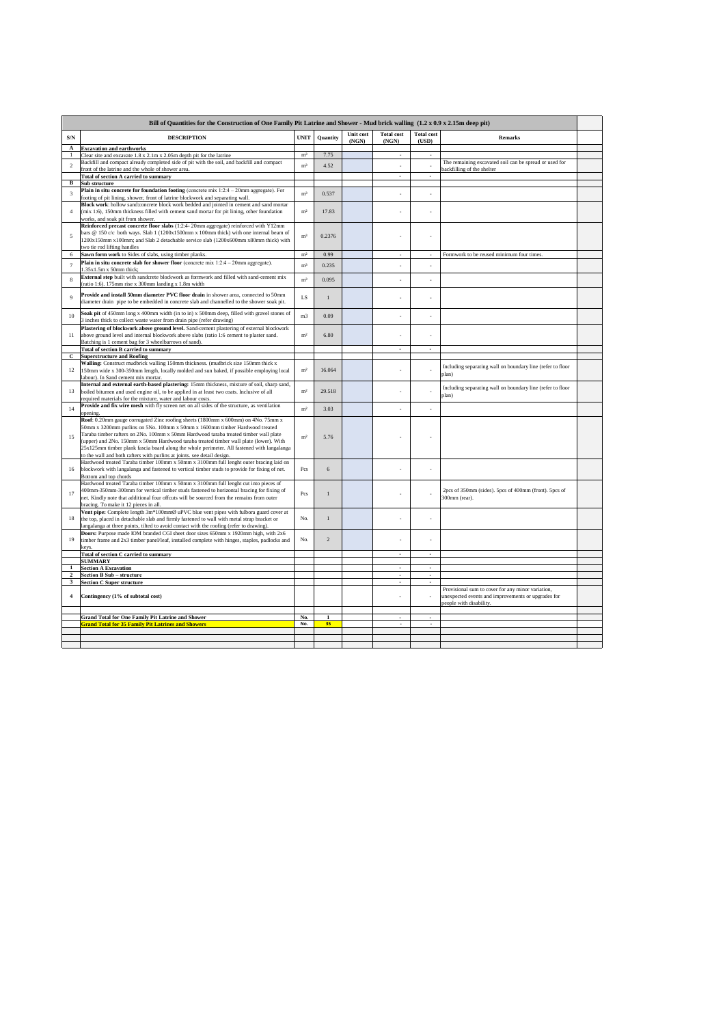|                | Bill of Quantities for the Construction of One Family Pit Latrine and Shower - Mud brick walling (1.2 x 0.9 x 2.15m deep pit)                                                                                                                                                                                                                                                                                                                                                                                              |                |                 |                    |                            |                             |                                                                                                                                    |  |
|----------------|----------------------------------------------------------------------------------------------------------------------------------------------------------------------------------------------------------------------------------------------------------------------------------------------------------------------------------------------------------------------------------------------------------------------------------------------------------------------------------------------------------------------------|----------------|-----------------|--------------------|----------------------------|-----------------------------|------------------------------------------------------------------------------------------------------------------------------------|--|
| S/N            | <b>DESCRIPTION</b>                                                                                                                                                                                                                                                                                                                                                                                                                                                                                                         | <b>UNIT</b>    | <b>Quantity</b> | Unit cost<br>(NGN) | <b>Total cost</b><br>(NGN) | <b>Total cost</b><br>(USD)  | <b>Remarks</b>                                                                                                                     |  |
| $\mathbf{A}$   | <b>Excavation and earthworks</b>                                                                                                                                                                                                                                                                                                                                                                                                                                                                                           | m <sup>3</sup> | 7.75            |                    |                            |                             |                                                                                                                                    |  |
| $\mathbf{1}$   | Clear site and excavate 1.8 x 2.1m x 2.05m depth pit for the latrine                                                                                                                                                                                                                                                                                                                                                                                                                                                       |                |                 |                    | ×,                         | $\mathcal{L}_{\mathcal{A}}$ |                                                                                                                                    |  |
| $\overline{2}$ | Backfill and compact already completed side of pit with the soil, and backfill and compact<br>front of the latrine and the whole of shower area.                                                                                                                                                                                                                                                                                                                                                                           | m <sup>3</sup> | 4.52            |                    | ÷                          | ÷,                          | The remaining excavated soil can be spread or used for<br>backfilling of the shelter                                               |  |
|                | Total of section A carried to summary                                                                                                                                                                                                                                                                                                                                                                                                                                                                                      |                |                 |                    |                            | $\overline{\phantom{a}}$    |                                                                                                                                    |  |
| в              | Sub structure                                                                                                                                                                                                                                                                                                                                                                                                                                                                                                              |                |                 |                    |                            |                             |                                                                                                                                    |  |
| $\overline{3}$ | Plain in situ concrete for foundation footing (concrete mix 1:2:4 - 20mm aggregate). For<br>footing of pit lining, shower, front of latrine blockwork and separating wall.                                                                                                                                                                                                                                                                                                                                                 | m <sup>3</sup> | 0.537           |                    | $\overline{a}$             | $\overline{a}$              |                                                                                                                                    |  |
|                | Block work: hollow sand:concrete block work bedded and jointed in cement and sand mortar<br>(mix 1:6), 150mm thickness filled with cement sand mortar for pit lining, other foundation                                                                                                                                                                                                                                                                                                                                     | m <sup>2</sup> | 17.83           |                    |                            |                             |                                                                                                                                    |  |
|                | works, and soak pit from shower.<br>Reinforced precast concrete floor slabs (1:2:4-20mm aggregate) reinforced with Y12mm                                                                                                                                                                                                                                                                                                                                                                                                   |                |                 |                    |                            |                             |                                                                                                                                    |  |
| 5              | bars @ 150 c/c both ways. Slab 1 (1200x1500mm x 100mm thick) with one internal beam of<br>1200x150mm x100mm; and Slab 2 detachable service slab (1200x600mm x80mm thick) with<br>two tie rod lifting handles                                                                                                                                                                                                                                                                                                               | m <sup>3</sup> | 0.2376          |                    |                            |                             |                                                                                                                                    |  |
| 6              | Sawn form work to Sides of slabs, using timber planks.                                                                                                                                                                                                                                                                                                                                                                                                                                                                     | m <sup>2</sup> | 0.99            |                    | ÷,                         | $\overline{\phantom{a}}$    | Formwork to be reused minimum four times.                                                                                          |  |
| $\tau$         | Plain in situ concrete slab for shower floor (concrete mix $1:2:4-20$ mm aggregate).<br>1.35x1.5m x 50mm thick;                                                                                                                                                                                                                                                                                                                                                                                                            | m <sup>3</sup> | 0.235           |                    |                            |                             |                                                                                                                                    |  |
| 8              | External step built with sandcrete blockwork as formwork and filled with sand-cement mix<br>(ratio 1:6). 175mm rise x 300mm landing x 1.8m width                                                                                                                                                                                                                                                                                                                                                                           | m <sup>3</sup> | 0.095           |                    |                            | ÷                           |                                                                                                                                    |  |
| $\mathbf{Q}$   | Provide and install 50mm diameter PVC floor drain in shower area, connected to 50mm<br>diameter drain pipe to be embedded in concrete slab and channelled to the shower soak pit.                                                                                                                                                                                                                                                                                                                                          | LS             | $\mathbf{I}$    |                    |                            |                             |                                                                                                                                    |  |
| 10             | Soak pit of 450mm long x 400mm width (in to in) x 500mm deep, filled with gravel stones of<br>3 inches thick to collect waste water from drain pipe (refer drawing)                                                                                                                                                                                                                                                                                                                                                        | m <sub>3</sub> | 0.09            |                    |                            |                             |                                                                                                                                    |  |
| 11             | Plastering of blockwork above ground level. Sand-cement plastering of external blockwork<br>above ground level and internal blockwork above slabs (ratio 1:6 cement to plaster sand.<br>Batching is 1 cement bag for 3 wheelbarrows of sand).                                                                                                                                                                                                                                                                              | m <sup>2</sup> | 6.80            |                    |                            |                             |                                                                                                                                    |  |
|                | <b>Total of section B carried to summary</b>                                                                                                                                                                                                                                                                                                                                                                                                                                                                               |                |                 |                    | $\lambda$                  | ÷                           |                                                                                                                                    |  |
| C              | <b>Superstructure and Roofing</b>                                                                                                                                                                                                                                                                                                                                                                                                                                                                                          |                |                 |                    |                            |                             |                                                                                                                                    |  |
| 12             | Walling: Construct mudbrick walling 150mm thickness. (mudbrick size 150mm thick x<br>150mm wide x 300-350mm length, locally molded and sun baked, if possible employing local<br>labour). In Sand cement mix mortar.                                                                                                                                                                                                                                                                                                       | m <sup>2</sup> | 16.064          |                    |                            |                             | Including separating wall on boundary line (refer to floor<br>nlan)                                                                |  |
| 13             | Internal and external earth-based plastering: 15mm thickness, mixture of soil, sharp sand,<br>boiled bitumen and used engine oil, to be applied in at least two coats. Inclusive of all<br>required materials for the mixture, water and labour costs.                                                                                                                                                                                                                                                                     | m <sup>2</sup> | 29.518          |                    |                            |                             | Including separating wall on boundary line (refer to floor<br>plan)                                                                |  |
| 14             | Provide and fix wire mesh with fly screen net on all sides of the structure, as ventilation<br>opening.                                                                                                                                                                                                                                                                                                                                                                                                                    | m <sup>2</sup> | 3.03            |                    |                            |                             |                                                                                                                                    |  |
| 15             | Roof: 0.20mm gauge corrugated Zinc roofing sheets (1800mm x 600mm) on 4No. 75mm x<br>50mm x 3200mm purlins on 5No. 100mm x 50mm x 1600mm timber Hardwood treated<br>Taraba timber rafters on 2No. 100mm x 50mm Hardwood taraba treated timber wall plate<br>(upper) and 2No. 150mm x 50mm Hardwood taraba treated timber wall plate (lower). With<br>25x125mm timber plank fascia board along the whole perimeter. All fastened with langalanga<br>to the wall and both rafters with purlins at joints. see detail design. | m <sup>2</sup> | 5.76            |                    |                            |                             |                                                                                                                                    |  |
| 16             | Hardwood treated Taraba timber 100mm x 50mm x 3100mm full lenght outer bracing laid on<br>blockwork with langalanga and fastened to vertical timber studs to provide for fixing of net.<br>Bottom and top chords                                                                                                                                                                                                                                                                                                           | $P_{CS}$       | 6               |                    |                            |                             |                                                                                                                                    |  |
| 17             | Hardwood treated Taraba timber 100mm x 50mm x 3100mm full lenght cut into pieces of<br>400mm-350mm-300mm for vertical timber studs fastened to horizontal bracing for fixing of<br>net. Kindly note that additional four offcuts will be sourced from the remains from outer<br>bracing. To make it 12 pieces in all.                                                                                                                                                                                                      | $P_{CS}$       | $\mathbf{I}$    |                    |                            |                             | 2pcs of 350mm (sides). 5pcs of 400mm (front). 5pcs of<br>300mm (rear).                                                             |  |
| 18             | Vent pipe: Complete length 3m*100mmØ uPVC blue vent pipes with fulbora guard cover at<br>the top, placed in detachable slab and firmly fastened to wall with metal strap bracket or<br>langalanga at three points, tilted to avoid contact with the roofing (refer to drawing).                                                                                                                                                                                                                                            | No.            | $\mathbf{I}$    |                    |                            |                             |                                                                                                                                    |  |
| 19             | Doors: Purpose made IOM branded CGI sheet door sizes 650mm x 1920mm high, with 2x6<br>timber frame and 2x3 timber panel/leaf, installed complete with hinges, staples, padlocks and<br>kevs.                                                                                                                                                                                                                                                                                                                               | No.            | $\mathcal{D}$   |                    |                            |                             |                                                                                                                                    |  |
|                | <b>Total of section C carried to summary</b>                                                                                                                                                                                                                                                                                                                                                                                                                                                                               |                |                 |                    |                            |                             |                                                                                                                                    |  |
|                | <b>SUMMARY</b>                                                                                                                                                                                                                                                                                                                                                                                                                                                                                                             |                |                 |                    |                            |                             |                                                                                                                                    |  |
| $1\,$          | <b>Section A Excavation</b>                                                                                                                                                                                                                                                                                                                                                                                                                                                                                                |                |                 |                    |                            |                             |                                                                                                                                    |  |
| $\overline{2}$ | <b>Section B Sub - structure</b>                                                                                                                                                                                                                                                                                                                                                                                                                                                                                           |                |                 |                    |                            |                             |                                                                                                                                    |  |
| 3              | <b>Section C Super structure</b>                                                                                                                                                                                                                                                                                                                                                                                                                                                                                           |                |                 |                    | $\overline{\phantom{a}}$   | $\overline{\phantom{a}}$    |                                                                                                                                    |  |
| $\overline{4}$ | Contingency (1% of subtotal cost)                                                                                                                                                                                                                                                                                                                                                                                                                                                                                          |                |                 |                    |                            |                             | Provisional sum to cover for any minor variation,<br>anexpected events and improvements or upgrades for<br>people with disability. |  |
|                |                                                                                                                                                                                                                                                                                                                                                                                                                                                                                                                            | No.            | $\mathbf{1}$    |                    |                            |                             |                                                                                                                                    |  |
|                | <b>Grand Total for One Family Pit Latrine and Shower</b><br><b>Grand Total for 35 Family Pit Latrines and Showers</b>                                                                                                                                                                                                                                                                                                                                                                                                      | No.            | 35              |                    |                            |                             |                                                                                                                                    |  |
|                |                                                                                                                                                                                                                                                                                                                                                                                                                                                                                                                            |                |                 |                    |                            |                             |                                                                                                                                    |  |
|                |                                                                                                                                                                                                                                                                                                                                                                                                                                                                                                                            |                |                 |                    |                            |                             |                                                                                                                                    |  |
|                |                                                                                                                                                                                                                                                                                                                                                                                                                                                                                                                            |                |                 |                    |                            |                             |                                                                                                                                    |  |
|                |                                                                                                                                                                                                                                                                                                                                                                                                                                                                                                                            |                |                 |                    |                            |                             |                                                                                                                                    |  |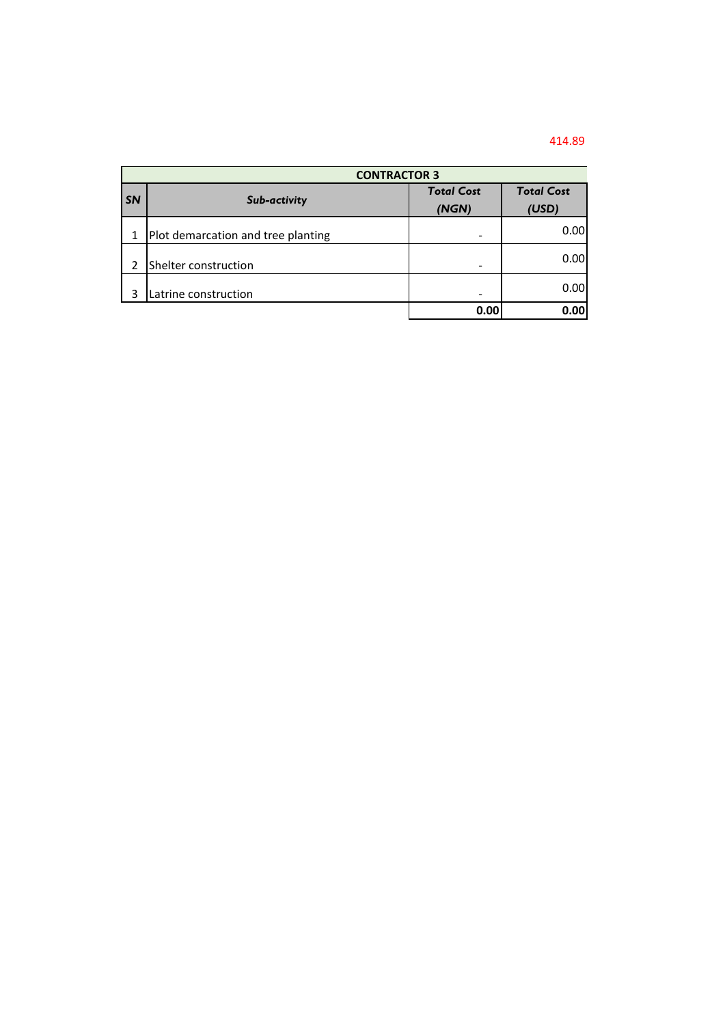## 414.89

|           | <b>CONTRACTOR 3</b>                |                            |                            |  |
|-----------|------------------------------------|----------------------------|----------------------------|--|
| <b>SN</b> | Sub-activity                       | <b>Total Cost</b><br>(NGN) | <b>Total Cost</b><br>(USD) |  |
| 1         | Plot demarcation and tree planting |                            | 0.00                       |  |
| 2         | Shelter construction               |                            | 0.00                       |  |
| ς         | Latrine construction               |                            | 0.00                       |  |
|           |                                    | 0.00                       | 0.00                       |  |